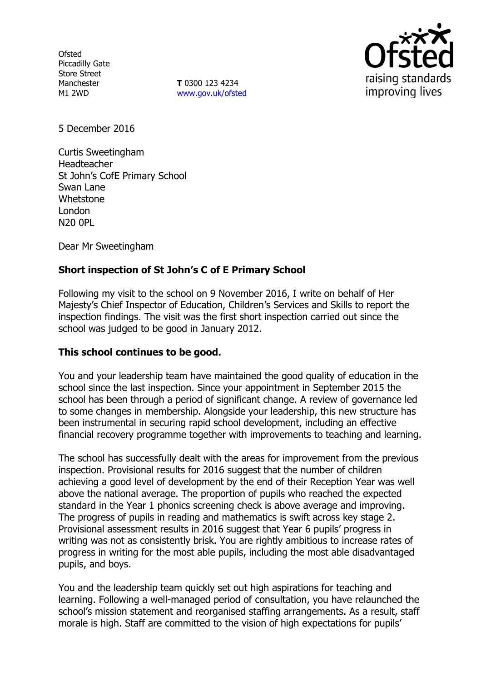**Ofsted** Piccadilly Gate Store Street Manchester M1 2WD

**T** 0300 123 4234 www.gov.uk/ofsted



5 December 2016

Curtis Sweetingham Headteacher St John's CofE Primary School Swan Lane Whetstone London N20 0PL

Dear Mr Sweetingham

# **Short inspection of St John's C of E Primary School**

Following my visit to the school on 9 November 2016, I write on behalf of Her Majesty's Chief Inspector of Education, Children's Services and Skills to report the inspection findings. The visit was the first short inspection carried out since the school was judged to be good in January 2012.

## **This school continues to be good.**

You and your leadership team have maintained the good quality of education in the school since the last inspection. Since your appointment in September 2015 the school has been through a period of significant change. A review of governance led to some changes in membership. Alongside your leadership, this new structure has been instrumental in securing rapid school development, including an effective financial recovery programme together with improvements to teaching and learning.

The school has successfully dealt with the areas for improvement from the previous inspection. Provisional results for 2016 suggest that the number of children achieving a good level of development by the end of their Reception Year was well above the national average. The proportion of pupils who reached the expected standard in the Year 1 phonics screening check is above average and improving. The progress of pupils in reading and mathematics is swift across key stage 2. Provisional assessment results in 2016 suggest that Year 6 pupils' progress in writing was not as consistently brisk. You are rightly ambitious to increase rates of progress in writing for the most able pupils, including the most able disadvantaged pupils, and boys.

You and the leadership team quickly set out high aspirations for teaching and learning. Following a well-managed period of consultation, you have relaunched the school's mission statement and reorganised staffing arrangements. As a result, staff morale is high. Staff are committed to the vision of high expectations for pupils'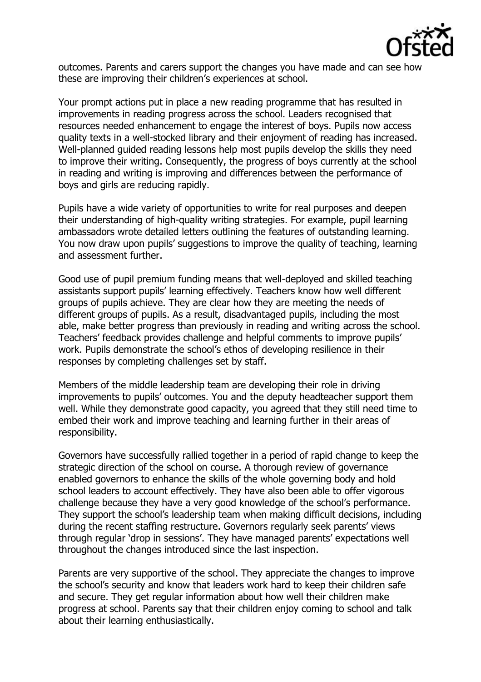

outcomes. Parents and carers support the changes you have made and can see how these are improving their children's experiences at school.

Your prompt actions put in place a new reading programme that has resulted in improvements in reading progress across the school. Leaders recognised that resources needed enhancement to engage the interest of boys. Pupils now access quality texts in a well-stocked library and their enjoyment of reading has increased. Well-planned guided reading lessons help most pupils develop the skills they need to improve their writing. Consequently, the progress of boys currently at the school in reading and writing is improving and differences between the performance of boys and girls are reducing rapidly.

Pupils have a wide variety of opportunities to write for real purposes and deepen their understanding of high-quality writing strategies. For example, pupil learning ambassadors wrote detailed letters outlining the features of outstanding learning. You now draw upon pupils' suggestions to improve the quality of teaching, learning and assessment further.

Good use of pupil premium funding means that well-deployed and skilled teaching assistants support pupils' learning effectively. Teachers know how well different groups of pupils achieve. They are clear how they are meeting the needs of different groups of pupils. As a result, disadvantaged pupils, including the most able, make better progress than previously in reading and writing across the school. Teachers' feedback provides challenge and helpful comments to improve pupils' work. Pupils demonstrate the school's ethos of developing resilience in their responses by completing challenges set by staff.

Members of the middle leadership team are developing their role in driving improvements to pupils' outcomes. You and the deputy headteacher support them well. While they demonstrate good capacity, you agreed that they still need time to embed their work and improve teaching and learning further in their areas of responsibility.

Governors have successfully rallied together in a period of rapid change to keep the strategic direction of the school on course. A thorough review of governance enabled governors to enhance the skills of the whole governing body and hold school leaders to account effectively. They have also been able to offer vigorous challenge because they have a very good knowledge of the school's performance. They support the school's leadership team when making difficult decisions, including during the recent staffing restructure. Governors regularly seek parents' views through regular 'drop in sessions'. They have managed parents' expectations well throughout the changes introduced since the last inspection.

Parents are very supportive of the school. They appreciate the changes to improve the school's security and know that leaders work hard to keep their children safe and secure. They get regular information about how well their children make progress at school. Parents say that their children enjoy coming to school and talk about their learning enthusiastically.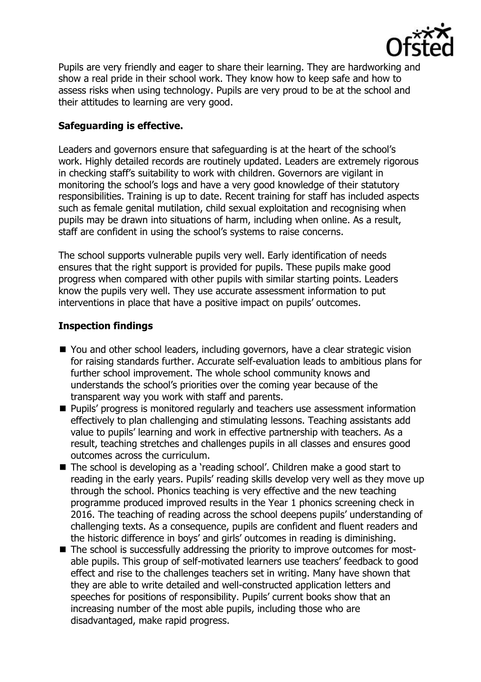

Pupils are very friendly and eager to share their learning. They are hardworking and show a real pride in their school work. They know how to keep safe and how to assess risks when using technology. Pupils are very proud to be at the school and their attitudes to learning are very good.

### **Safeguarding is effective.**

Leaders and governors ensure that safeguarding is at the heart of the school's work. Highly detailed records are routinely updated. Leaders are extremely rigorous in checking staff's suitability to work with children. Governors are vigilant in monitoring the school's logs and have a very good knowledge of their statutory responsibilities. Training is up to date. Recent training for staff has included aspects such as female genital mutilation, child sexual exploitation and recognising when pupils may be drawn into situations of harm, including when online. As a result, staff are confident in using the school's systems to raise concerns.

The school supports vulnerable pupils very well. Early identification of needs ensures that the right support is provided for pupils. These pupils make good progress when compared with other pupils with similar starting points. Leaders know the pupils very well. They use accurate assessment information to put interventions in place that have a positive impact on pupils' outcomes.

#### **Inspection findings**

- You and other school leaders, including governors, have a clear strategic vision for raising standards further. Accurate self-evaluation leads to ambitious plans for further school improvement. The whole school community knows and understands the school's priorities over the coming year because of the transparent way you work with staff and parents.
- Pupils' progress is monitored regularly and teachers use assessment information effectively to plan challenging and stimulating lessons. Teaching assistants add value to pupils' learning and work in effective partnership with teachers. As a result, teaching stretches and challenges pupils in all classes and ensures good outcomes across the curriculum.
- The school is developing as a 'reading school'. Children make a good start to reading in the early years. Pupils' reading skills develop very well as they move up through the school. Phonics teaching is very effective and the new teaching programme produced improved results in the Year 1 phonics screening check in 2016. The teaching of reading across the school deepens pupils' understanding of challenging texts. As a consequence, pupils are confident and fluent readers and the historic difference in boys' and girls' outcomes in reading is diminishing.
- The school is successfully addressing the priority to improve outcomes for mostable pupils. This group of self-motivated learners use teachers' feedback to good effect and rise to the challenges teachers set in writing. Many have shown that they are able to write detailed and well-constructed application letters and speeches for positions of responsibility. Pupils' current books show that an increasing number of the most able pupils, including those who are disadvantaged, make rapid progress.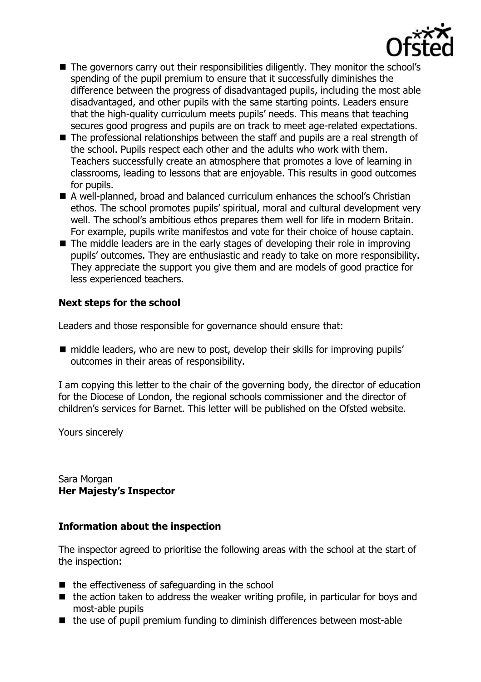

- The governors carry out their responsibilities diligently. They monitor the school's spending of the pupil premium to ensure that it successfully diminishes the difference between the progress of disadvantaged pupils, including the most able disadvantaged, and other pupils with the same starting points. Leaders ensure that the high-quality curriculum meets pupils' needs. This means that teaching secures good progress and pupils are on track to meet age-related expectations.
- The professional relationships between the staff and pupils are a real strength of the school. Pupils respect each other and the adults who work with them. Teachers successfully create an atmosphere that promotes a love of learning in classrooms, leading to lessons that are enjoyable. This results in good outcomes for pupils.
- A well-planned, broad and balanced curriculum enhances the school's Christian ethos. The school promotes pupils' spiritual, moral and cultural development very well. The school's ambitious ethos prepares them well for life in modern Britain. For example, pupils write manifestos and vote for their choice of house captain.
- $\blacksquare$  The middle leaders are in the early stages of developing their role in improving pupils' outcomes. They are enthusiastic and ready to take on more responsibility. They appreciate the support you give them and are models of good practice for less experienced teachers.

#### **Next steps for the school**

Leaders and those responsible for governance should ensure that:

■ middle leaders, who are new to post, develop their skills for improving pupils' outcomes in their areas of responsibility.

I am copying this letter to the chair of the governing body, the director of education for the Diocese of London, the regional schools commissioner and the director of children's services for Barnet. This letter will be published on the Ofsted website.

Yours sincerely

Sara Morgan **Her Majesty's Inspector**

#### **Information about the inspection**

The inspector agreed to prioritise the following areas with the school at the start of the inspection:

- $\blacksquare$  the effectiveness of safeguarding in the school
- $\blacksquare$  the action taken to address the weaker writing profile, in particular for boys and most-able pupils
- $\blacksquare$  the use of pupil premium funding to diminish differences between most-able